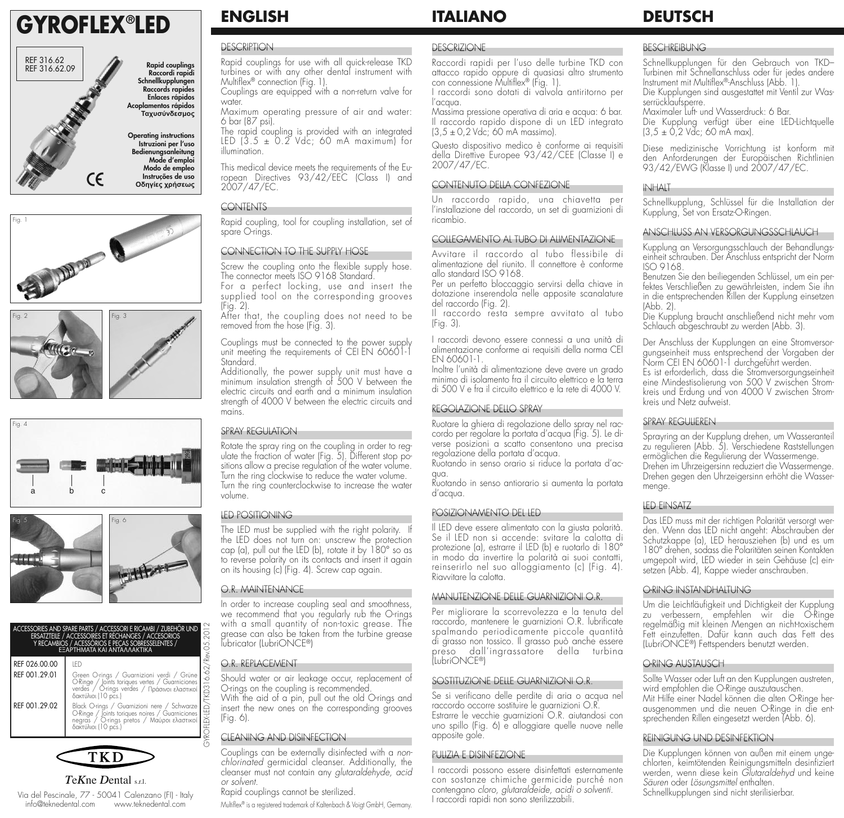# **GYROFLEX® LED**















*T*e*K*ne *D*ental s.r.l. Via del Pescinale, 77 - 50041 Calenzano (FI) - Italy info@teknedental.com www.teknedental.com

### **ENGLISH**

#### **DESCRIPTION**

Rapid couplings for use with all quick-release TKD turbines or with any other dental instrument with Multiflex® connection (Fig. 1).

Couplings are equipped with a non-return valve for water.

Maximum operating pressure of air and water: 6 bar (87 psi).

The rapid coupling is provided with an integrated LED  $(3.5 \pm 0.2 \text{ Vdc})$ ; 60 mA maximum) for illumination.

This medical device meets the requirements of the European Directives 93/42/EEC (Class I) and 2007/47/EC.

### **CONTENTS**

Rapid coupling, tool for coupling installation, set of spare O-rings.

#### CONNECTION TO THE SUPPLY HOSE

Screw the coupling onto the flexible supply hose. The connector meets ISO 9168 Standard.

For a perfect locking, use and insert the supplied tool on the corresponding grooves (Fig. 2).

After that, the coupling does not need to be removed from the hose (Fig. 3).

Couplings must be connected to the power supply unit meeting the requirements of CEI EN 60601-1 Standard.

Additionally, the power supply unit must have a minimum insulation strength of 500 V between the electric circuits and earth and a minimum insulation strength of 4000 V between the electric circuits and mains.

#### SPRAY REGULATION

Rotate the spray ring on the coupling in order to regulate the fraction of water (Fig. 5). Different stop positions allow a precise regulation of the water volume. Turn the ring clockwise to reduce the water volume. Turn the ring counterclockwise to increase the water volume.

#### LED POSITIONING

The LED must be supplied with the right polarity. If the LED does not turn on: unscrew the protection cap (a), pull out the LED (b), rotate it by 180° so as to reverse polarity on its contacts and insert it again on its housing (c) (Fig. 4). Screw cap again.

#### O.R. MAINTENANCE

In order to increase coupling seal and smoothness, we recommend that you regularly rub the O-rings with a small quantity of non-toxic grease. The grease can also be taken from the turbine grease lubricator (LubriONCE®)

#### O.R. REPLACEMENT

Should water or air leakage occur, replacement of O-rings on the coupling is recommended.

With the aid of a pin, pull out the old O-rings and insert the new ones on the corresponding grooves (Fig. 6).

#### CLEANING AND DISINFECTION

Couplings can be externally disinfected with a *nonchlorinated* germicidal cleanser. Additionally, the cleanser must not contain any *glutaraldehyde, acid or solvent.*

Rapid couplings cannot be sterilized.

Multiflex® is a registered trademark of Kaltenbach & Voigt GmbH, Germany.

#### **DESCRIZIONE**

**ITALIANO**

Raccordi rapidi per l'uso delle turbine TKD con attacco rapido oppure di quasiasi altro strumento con connessione Multiflex® (Fig. 1).

I raccordi sono dotati di valvola antiritorno per l'acqua. Massima pressione operativa di aria e acqua: 6 bar.

Il raccordo rapido dispone di un LED integrato (3,5 ± 0,2 Vdc; 60 mA massimo).

Questo dispositivo medico è conforme ai requisiti della Direttive Europee 93/42/CEE (Classe I) e 2007/47/EC.

#### CONTENUTO DELLA CONFEZIONE

Un raccordo rapido, una chiavetta per l'installazione del raccordo, un set di guarnizioni di ricambio.

#### COLLEGAMENTO AL TUBO DI ALIMENTAZIONE

Avvitare il raccordo al tubo flessibile di alimentazione del riunito. Il connettore è conforme allo standard ISO 9168.

Per un perfetto bloccaggio servirsi della chiave in dotazione inserendola nelle apposite scanalature del raccordo (Fig. 2).

Il raccordo resta sempre avvitato al tubo (Fig. 3).

I raccordi devono essere connessi a una unità di alimentazione conforme ai requisiti della norma CEI EN 60601-1.

Inoltre l'unità di alimentazione deve avere un grado minimo di isolamento fra il circuito elettrico e la terra di 500 V e fra il circuito elettrico e la rete di 4000 V.

#### REGOLAZIONE DELLO SPRAY

Ruotare la ghiera di regolazione dello spray nel raccordo per regolare la portata d'acqua (Fig. 5). Le diverse posizioni a scatto consentono una precisa regolazione della portata d'acqua.

Ruotando in senso orario si riduce la portata d'acqua.

Ruotando in senso antiorario si aumenta la portata d'acqua.

#### POSIZIONAMENTO DEL LED

Il LED deve essere alimentato con la giusta polarità. Se il LED non si accende: svitare la calotta di protezione (a), estrarre il LED (b) e ruotarlo di 180° in modo da invertire la polarità ai suoi contatti, reinserirlo nel suo alloggiamento (c) (Fig. 4). Riavvitare la calotta.

#### MANUTENZIONE DELLE GUARNIZIONI O.R.

Per migliorare la scorrevolezza e la tenuta del raccordo, mantenere le guarnizioni O.R. lubrificate spalmando periodicamente piccole quantità di grasso non tossico. Il grasso può anche essere preso dall'ingrassatore della turbina (LubriONCE®)

#### SOSTITUZIONE DELLE GUARNIZIONI O.R.

Se si verificano delle perdite di aria o acqua nel raccordo occorre sostituire le guarnizioni O.R. Estrarre le vecchie guarnizioni O.R. aiutandosi con uno spillo (Fig. 6) e alloggiare quelle nuove nelle apposite gole.

#### PULIZIA E DISINFEZIONE

I raccordi possono essere disinfettati esternamente con sostanze chimiche germicide purché non contengano *cloro, glutaraldeide, acidi o solventi.* I raccordi rapidi non sono sterilizzabili.

### **DEUTSCH**

#### BESCHREIBUNG

Schnellkupplungen für den Gebrauch von TKD– Turbinen mit Schnellanschluss oder für jedes andere Instrument mit Multiflex®-Anschluss (Abb. 1). Die Kupplungen sind ausgestattet mit Ventil zur Wasserrücklaufsperre.

Maximaler Luft- und Wasserdruck: 6 Bar.

Die Kupplung verfügt über eine LED-Lichtquelle (3,5 ± 0,2 Vdc; 60 mA max).

Diese medizinische Vorrichtung ist konform mit den Anforderungen der Europäischen Richtlinien 93/42/EWG (Klasse I) und 2007/47/EC.

#### INHALT

Schnellkupplung, Schlüssel für die Installation der Kupplung, Set von Ersatz-O-Ringen.

#### ANSCHLUSS AN VERSORGUNGSSCHLAUCH

Kupplung an Versorgungsschlauch der Behandlungseinheit schrauben. Der Anschluss entspricht der Norm ISO 9168.

Benutzen Sie den beiliegenden Schlüssel, um ein perfektes Verschließen zu gewährleisten, indem Sie ihn in die entsprechenden Rillen der Kupplung einsetzen (Abb. 2).

Die Kupplung braucht anschließend nicht mehr vom Schlauch abgeschraubt zu werden (Abb. 3).

Der Anschluss der Kupplungen an eine Stromversorgungseinheit muss entsprechend der Vorgaben der Norm CEI EN 60601-1 durchgeführt werden.

Es ist erforderlich, dass die Stromversorgungseinheit eine Mindestisolierung von 500 V zwischen Stromkreis und Erdung und von 4000 V zwischen Stromkreis und Netz aufweist.

#### SPRAY REGULIEREN

Sprayring an der Kupplung drehen, um Wasseranteil zu regulieren (Abb. 5). Verschiedene Raststellungen ermöglichen die Regulierung der Wassermenge. Drehen im Uhrzeigersinn reduziert die Wassermenge. Drehen gegen den Uhrzeigersinn erhöht die Wassermenge.

#### LED EINSATZ

Das LED muss mit der richtigen Polarität versorgt werden. Wenn das LED nicht angeht: Abschrauben der Schutzkappe (a), LED herausziehen (b) und es um 180° drehen, sodass die Polaritäten seinen Kontakten umgepolt wird, LED wieder in sein Gehäuse (c) einsetzen (Abb. 4), Kappe wieder anschrauben.

#### O-RING INSTANDHALTUNG

Um die Leichtläufigkeit und Dichtigkeit der Kupplung zu verbessern, empfehlen wir die O-Ringe regelmäßig mit kleinen Mengen an nicht-toxischem Fett einzufetten. Dafür kann auch das Fett des (LubriONCE®) Fettspenders benutzt werden.

#### O-RING AUSTAUSCH

Sollte Wasser oder Luft an den Kupplungen austreten, wird empfohlen die O-Ringe auszutauschen. Mit Hilfe einer Nadel können die alten O-Ringe herausgenommen und die neuen O-Ringe in die entsprechenden Rillen eingesetzt werden (Abb. 6).

#### REINIGUNG UND DESINFEKTION

Die Kupplungen können von außen mit einem ungechlorten, keimtötenden Reinigungsmitteln desinfiziert werden, wenn diese kein *Glutaraldehyd* und keine *Säuren* oder *Lösungsmittel* enthalten. Schnellkupplungen sind nicht sterilisierbar.